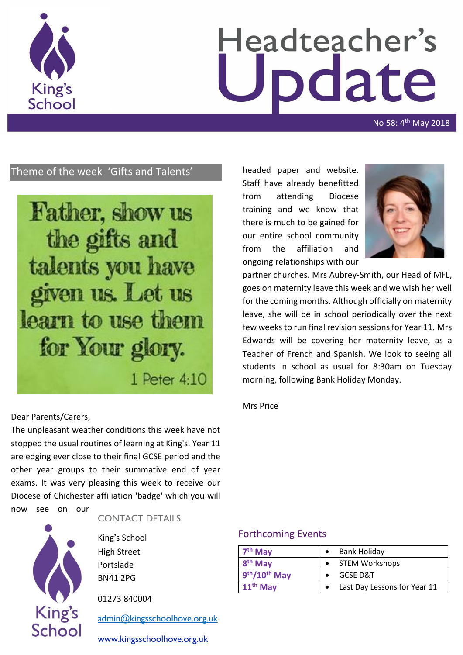

# Headteacher's date

No 58: 4<sup>th</sup> May 2018

# Theme of the week 'Gifts and Talents'



headed paper and website. Staff have already benefitted from attending Diocese training and we know that there is much to be gained for our entire school community from the affiliation and ongoing relationships with our



partner churches. Mrs Aubrey-Smith, our Head of MFL, goes on maternity leave this week and we wish her well for the coming months. Although officially on maternity leave, she will be in school periodically over the next few weeks to run final revision sessions for Year 11. Mrs Edwards will be covering her maternity leave, as a Teacher of French and Spanish. We look to seeing all students in school as usual for 8:30am on Tuesday morning, following Bank Holiday Monday.

#### Mrs Price

#### Dear Parents/Carers,

The unpleasant weather conditions this week have not stopped the usual routines of learning at King's. Year 11 are edging ever close to their final GCSE period and the other year groups to their summative end of year exams. It was very pleasing this week to receive our Diocese of Chichester affiliation 'badge' which you will now see on our

**King's** School

#### CONTACT DETAILS

King's School High Street Portslade BN41 2PG

01273 840004

[admin@kingsschoolhove.org.uk](mailto:admin@kingsschoolhove.org.uk)

[www.kingsschoolhove.org.uk](http://www.kingsschoolhove.org.uk/)

## Forthcoming Events

| $7th$ May           | Bank Holiday                 |
|---------------------|------------------------------|
| 8 <sup>th</sup> May | <b>STEM Workshops</b>        |
| 9th/10th May        | <b>GCSE D&amp;T</b>          |
| $11th$ May          | Last Day Lessons for Year 11 |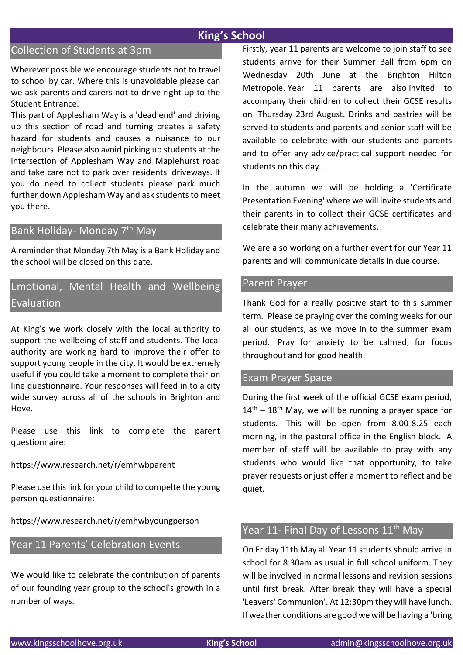# **King's School**

# Collection of Students at 3pm

Wherever possible we encourage students not to travel to school by car. Where this is unavoidable please can we ask parents and carers not to drive right up to the Student Entrance.

This part of Applesham Way is a 'dead end' and driving up this section of road and turning creates a safety hazard for students and causes a nuisance to our neighbours. Please also avoid picking up students at the intersection of Applesham Way and Maplehurst road and take care not to park over residents' driveways. If you do need to collect students please park much further down Applesham Way and ask students to meet you there.

## Bank Holiday- Monday 7<sup>th</sup> May

A reminder that Monday 7th May is a Bank Holiday and the school will be closed on this date.

# Emotional, Mental Health and Wellbeing Evaluation

At King's we work closely with the local authority to support the wellbeing of staff and students. The local authority are working hard to improve their offer to support young people in the city. It would be extremely useful if you could take a moment to complete their on line questionnaire. Your responses will feed in to a city wide survey across all of the schools in Brighton and Hove.

Please use this link to complete the parent questionnaire:

#### <https://www.research.net/r/emhwbparent>

Please use this link for your child to compelte the young person questionnaire:

<https://www.research.net/r/emhwbyoungperson>

## Year 11 Parents' Celebration Events

We would like to celebrate the contribution of parents of our founding year group to the school's growth in a number of ways.

Firstly, year 11 parents are welcome to join staff to see students arrive for their Summer Ball from 6pm on Wednesday 20th June at the Brighton Hilton Metropole. Year 11 parents are also invited to accompany their children to collect their GCSE results on Thursday 23rd August. Drinks and pastries will be served to students and parents and senior staff will be available to celebrate with our students and parents and to offer any advice/practical support needed for students on this day.

In the autumn we will be holding a 'Certificate Presentation Evening' where we will invite students and their parents in to collect their GCSE certificates and celebrate their many achievements.

We are also working on a further event for our Year 11 parents and will communicate details in due course.

#### Parent Prayer

Thank God for a really positive start to this summer term. Please be praying over the coming weeks for our all our students, as we move in to the summer exam period. Pray for anxiety to be calmed, for focus throughout and for good health.

#### Exam Prayer Space

During the first week of the official GCSE exam period,  $14<sup>th</sup> - 18<sup>th</sup>$  May, we will be running a prayer space for students. This will be open from 8.00-8.25 each morning, in the pastoral office in the English block. A member of staff will be available to pray with any students who would like that opportunity, to take prayer requests or just offer a moment to reflect and be quiet.

# Year 11- Final Day of Lessons 11<sup>th</sup> May

On Friday 11th May all Year 11 students should arrive in school for 8:30am as usual in full school uniform. They will be involved in normal lessons and revision sessions until first break. After break they will have a special 'Leavers' Communion'. At 12:30pm they will have lunch. If weather conditions are good we will be having a 'bring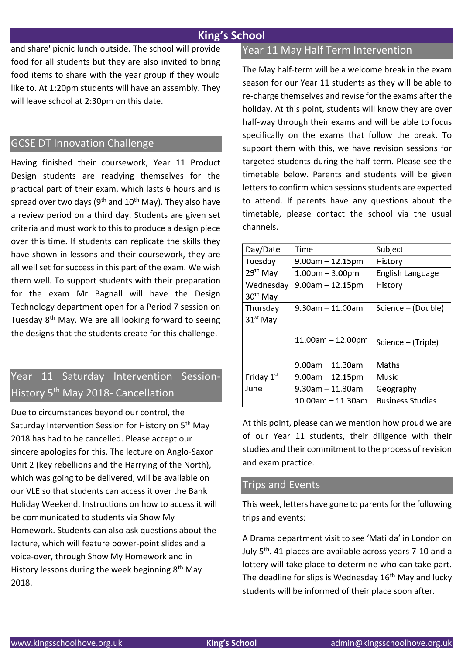# **King's School**

and share' picnic lunch outside. The school will provide food for all students but they are also invited to bring food items to share with the year group if they would like to. At 1:20pm students will have an assembly. They will leave school at 2:30pm on this date.

## GCSE DT Innovation Challenge

Having finished their coursework, Year 11 Product Design students are readying themselves for the practical part of their exam, which lasts 6 hours and is spread over two days ( $9<sup>th</sup>$  and  $10<sup>th</sup>$  May). They also have a review period on a third day. Students are given set criteria and must work to this to produce a design piece over this time. If students can replicate the skills they have shown in lessons and their coursework, they are all well set for success in this part of the exam. We wish them well. To support students with their preparation for the exam Mr Bagnall will have the Design Technology department open for a Period 7 session on Tuesday  $8<sup>th</sup>$  May. We are all looking forward to seeing the designs that the students create for this challenge.

# Year 11 Saturday Intervention Session-History 5<sup>th</sup> May 2018- Cancellation

Due to circumstances beyond our control, the Saturday Intervention Session for History on 5<sup>th</sup> May 2018 has had to be cancelled. Please accept our sincere apologies for this. The lecture on Anglo-Saxon Unit 2 (key rebellions and the Harrying of the North), which was going to be delivered, will be available on our VLE so that students can access it over the Bank Holiday Weekend. Instructions on how to access it will be communicated to students via Show My Homework. Students can also ask questions about the lecture, which will feature power-point slides and a voice-over, through Show My Homework and in History lessons during the week beginning  $8<sup>th</sup>$  May 2018.

## Year 11 May Half Term Intervention

The May half-term will be a welcome break in the exam season for our Year 11 students as they will be able to re-charge themselves and revise for the exams after the holiday. At this point, students will know they are over half-way through their exams and will be able to focus specifically on the exams that follow the break. To support them with this, we have revision sessions for targeted students during the half term. Please see the timetable below. Parents and students will be given letters to confirm which sessions students are expected to attend. If parents have any questions about the timetable, please contact the school via the usual channels.

| Day/Date             | Time                   | Subject                 |
|----------------------|------------------------|-------------------------|
| Tuesday              | $9.00$ am $- 12.15$ pm | History                 |
| 29 <sup>th</sup> May | $1.00pm - 3.00pm$      | English Language        |
| Wednesday            | $9.00$ am $- 12.15$ pm | History                 |
| 30 <sup>th</sup> May |                        |                         |
| Thursday             | 9.30am - 11.00am       | Science – (Double)      |
| $31st$ May           |                        |                         |
|                      | $11.00$ am - 12.00pm   | Science – (Triple)      |
|                      | 9.00am – 11.30am       | Maths                   |
| Friday $1st$         | $9.00$ am $- 12.15$ pm | Music                   |
| June                 | $9.30$ am - 11.30am    | Geography               |
|                      | 10.00am - 11.30am      | <b>Business Studies</b> |

At this point, please can we mention how proud we are of our Year 11 students, their diligence with their studies and their commitment to the process of revision and exam practice.

## Trips and Events

This week, letters have gone to parents for the following trips and events:

A Drama department visit to see 'Matilda' in London on July 5th. 41 places are available across years 7-10 and a lottery will take place to determine who can take part. The deadline for slips is Wednesday 16<sup>th</sup> May and lucky students will be informed of their place soon after.